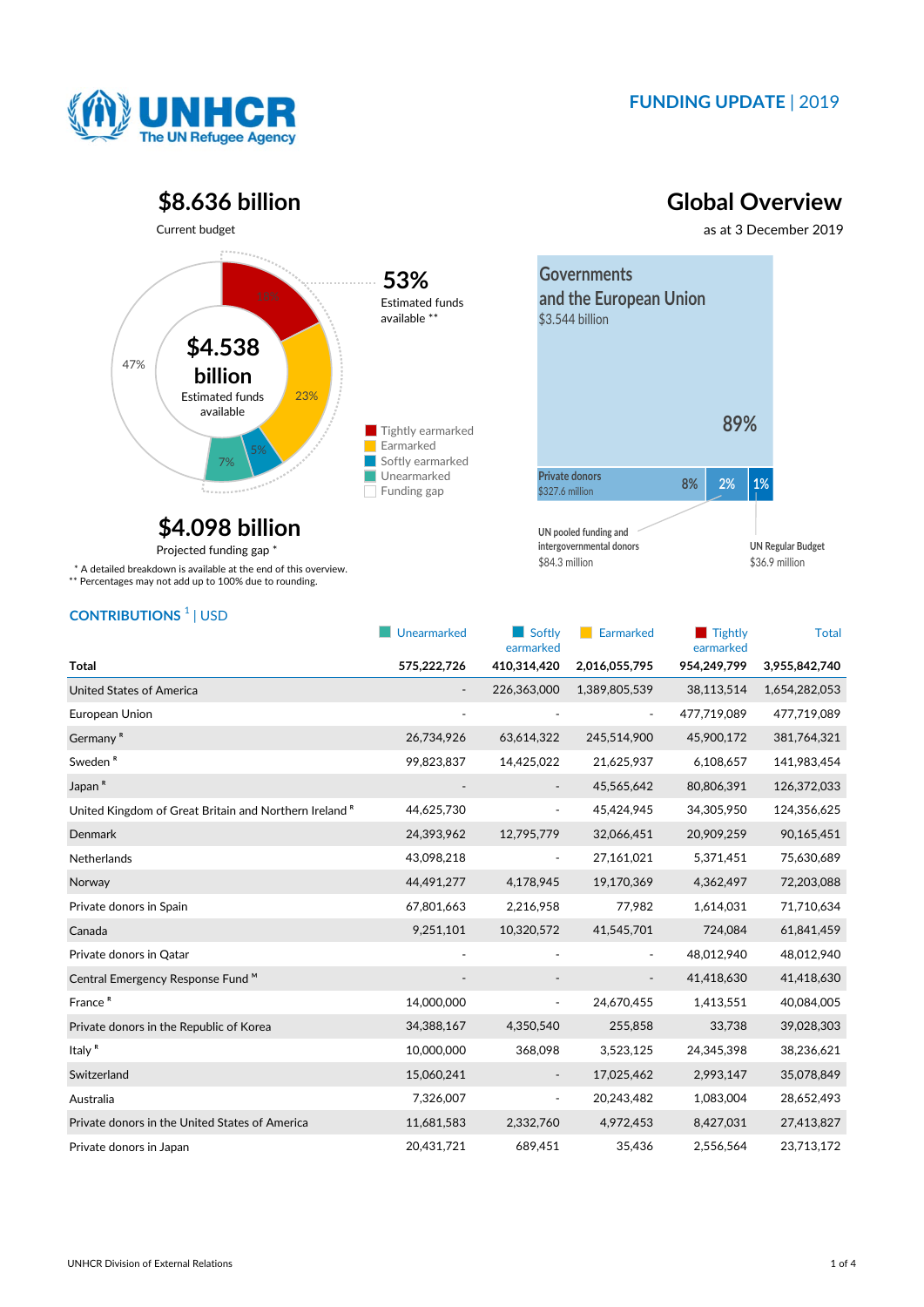

### **FUNDING UPDATE** | 2019

### **\$8.636 billion Global Overview**



## **\$4.098 billion**

Projected funding gap \*

\* A detailed breakdown is available at the end of this overview.

\*\* Percentages may not add up to 100% due to rounding.

# **UN pooled funding and intergovernmental donors**

\$84.3 million

\$36.9 million **UN Regular Budget**

| <b>CONTRIBUTIONS</b> <sup>1</sup>   USD |  |
|-----------------------------------------|--|
|-----------------------------------------|--|

|                                                                   | Unearmarked | Softly<br>earmarked      | Earmarked                | $\blacksquare$ Tightly<br>earmarked | <b>Total</b>  |
|-------------------------------------------------------------------|-------------|--------------------------|--------------------------|-------------------------------------|---------------|
| <b>Total</b>                                                      | 575,222,726 | 410,314,420              | 2,016,055,795            | 954,249,799                         | 3,955,842,740 |
| <b>United States of America</b>                                   |             | 226,363,000              | 1,389,805,539            | 38,113,514                          | 1,654,282,053 |
| European Union                                                    |             |                          |                          | 477,719,089                         | 477,719,089   |
| Germany <sup>R</sup>                                              | 26,734,926  | 63,614,322               | 245,514,900              | 45,900,172                          | 381,764,321   |
| Sweden <sup>R</sup>                                               | 99,823,837  | 14,425,022               | 21,625,937               | 6,108,657                           | 141,983,454   |
| Japan <sup>R</sup>                                                |             | $\overline{\phantom{a}}$ | 45,565,642               | 80,806,391                          | 126,372,033   |
| United Kingdom of Great Britain and Northern Ireland <sup>R</sup> | 44,625,730  |                          | 45,424,945               | 34,305,950                          | 124,356,625   |
| <b>Denmark</b>                                                    | 24,393,962  | 12,795,779               | 32,066,451               | 20,909,259                          | 90,165,451    |
| Netherlands                                                       | 43,098,218  | $\overline{\phantom{a}}$ | 27,161,021               | 5,371,451                           | 75,630,689    |
| Norway                                                            | 44,491,277  | 4,178,945                | 19,170,369               | 4,362,497                           | 72,203,088    |
| Private donors in Spain                                           | 67,801,663  | 2,216,958                | 77,982                   | 1,614,031                           | 71,710,634    |
| Canada                                                            | 9,251,101   | 10,320,572               | 41,545,701               | 724,084                             | 61,841,459    |
| Private donors in Qatar                                           |             |                          | $\overline{\phantom{a}}$ | 48,012,940                          | 48,012,940    |
| Central Emergency Response Fund ™                                 |             |                          | $\overline{\phantom{a}}$ | 41,418,630                          | 41,418,630    |
| France <sup>R</sup>                                               | 14,000,000  | $\overline{\phantom{a}}$ | 24,670,455               | 1,413,551                           | 40,084,005    |
| Private donors in the Republic of Korea                           | 34,388,167  | 4,350,540                | 255,858                  | 33,738                              | 39,028,303    |
| Italy <sup>R</sup>                                                | 10,000,000  | 368,098                  | 3,523,125                | 24,345,398                          | 38,236,621    |
| Switzerland                                                       | 15,060,241  | $\overline{\phantom{a}}$ | 17,025,462               | 2,993,147                           | 35,078,849    |
| Australia                                                         | 7,326,007   | ۰                        | 20,243,482               | 1,083,004                           | 28,652,493    |
| Private donors in the United States of America                    | 11,681,583  | 2,332,760                | 4,972,453                | 8,427,031                           | 27,413,827    |
| Private donors in Japan                                           | 20,431,721  | 689,451                  | 35,436                   | 2,556,564                           | 23,713,172    |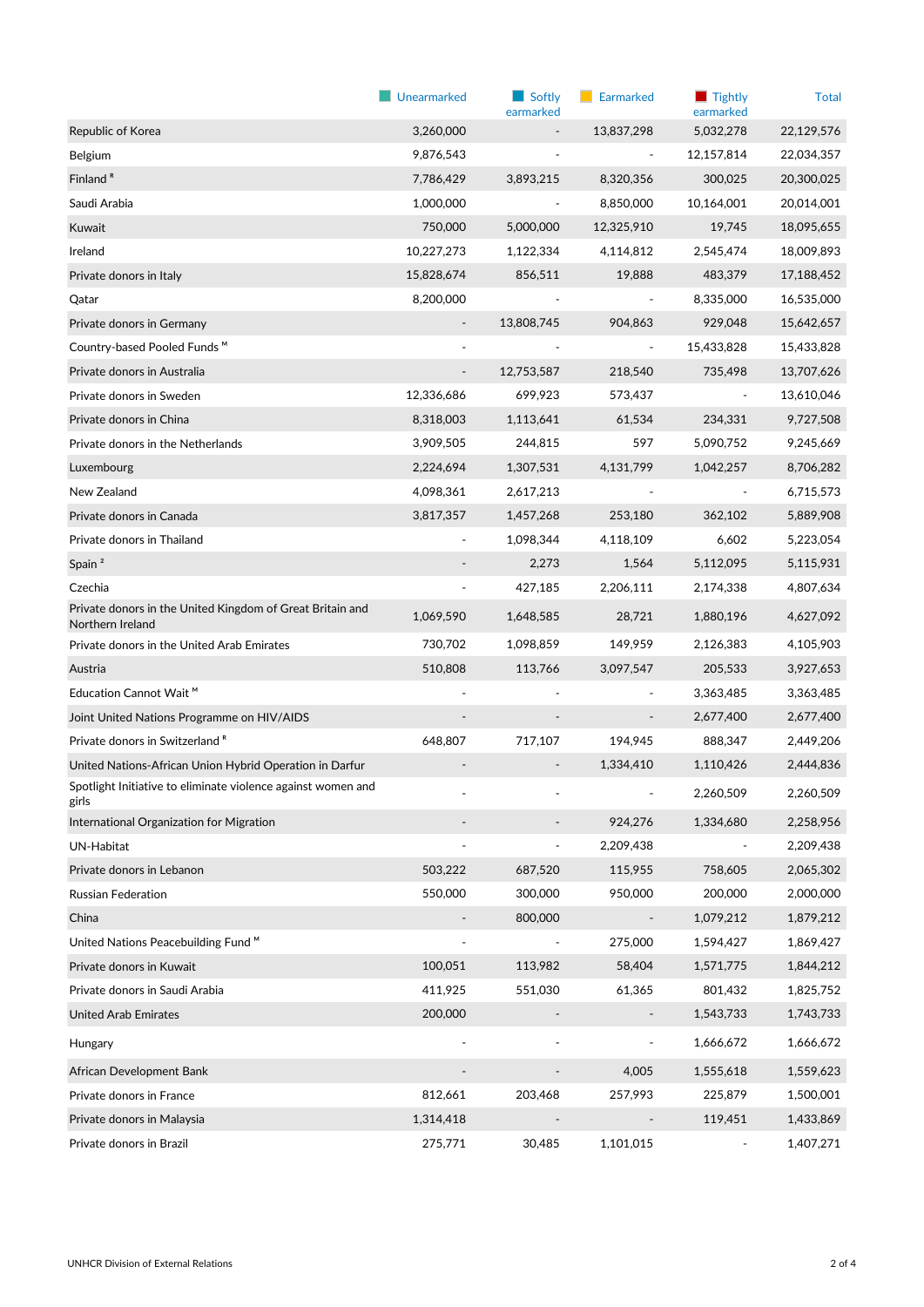|                                                                               | Unearmarked                  | $\blacksquare$ Softly<br>earmarked | Earmarked                | $\blacksquare$ Tightly<br>earmarked | <b>Total</b> |
|-------------------------------------------------------------------------------|------------------------------|------------------------------------|--------------------------|-------------------------------------|--------------|
| Republic of Korea                                                             | 3,260,000                    |                                    | 13,837,298               | 5,032,278                           | 22,129,576   |
| Belgium                                                                       | 9,876,543                    |                                    |                          | 12,157,814                          | 22,034,357   |
| Finland <sup>R</sup>                                                          | 7,786,429                    | 3,893,215                          | 8,320,356                | 300,025                             | 20,300,025   |
| Saudi Arabia                                                                  | 1,000,000                    | $\frac{1}{2}$                      | 8,850,000                | 10,164,001                          | 20,014,001   |
| Kuwait                                                                        | 750,000                      | 5,000,000                          | 12,325,910               | 19,745                              | 18,095,655   |
| Ireland                                                                       | 10,227,273                   | 1,122,334                          | 4,114,812                | 2,545,474                           | 18,009,893   |
| Private donors in Italy                                                       | 15,828,674                   | 856,511                            | 19,888                   | 483,379                             | 17,188,452   |
| Qatar                                                                         | 8,200,000                    |                                    |                          | 8,335,000                           | 16,535,000   |
| Private donors in Germany                                                     | $\overline{\phantom{a}}$     | 13,808,745                         | 904,863                  | 929,048                             | 15,642,657   |
| Country-based Pooled Funds <sup>M</sup>                                       |                              |                                    | ۰                        | 15,433,828                          | 15,433,828   |
| Private donors in Australia                                                   | $\qquad \qquad \blacksquare$ | 12,753,587                         | 218,540                  | 735,498                             | 13,707,626   |
| Private donors in Sweden                                                      | 12,336,686                   | 699,923                            | 573,437                  | $\blacksquare$                      | 13,610,046   |
| Private donors in China                                                       | 8,318,003                    | 1,113,641                          | 61,534                   | 234,331                             | 9,727,508    |
| Private donors in the Netherlands                                             | 3,909,505                    | 244,815                            | 597                      | 5,090,752                           | 9,245,669    |
| Luxembourg                                                                    | 2,224,694                    | 1,307,531                          | 4,131,799                | 1,042,257                           | 8,706,282    |
| New Zealand                                                                   | 4,098,361                    | 2,617,213                          |                          | $\overline{\phantom{a}}$            | 6,715,573    |
| Private donors in Canada                                                      | 3,817,357                    | 1,457,268                          | 253,180                  | 362,102                             | 5,889,908    |
| Private donors in Thailand                                                    |                              | 1,098,344                          | 4,118,109                | 6,602                               | 5,223,054    |
| Spain <sup>2</sup>                                                            |                              | 2,273                              | 1,564                    | 5,112,095                           | 5,115,931    |
| Czechia                                                                       |                              | 427,185                            | 2,206,111                | 2,174,338                           | 4,807,634    |
| Private donors in the United Kingdom of Great Britain and<br>Northern Ireland | 1,069,590                    | 1,648,585                          | 28,721                   | 1,880,196                           | 4,627,092    |
| Private donors in the United Arab Emirates                                    | 730,702                      | 1,098,859                          | 149,959                  | 2,126,383                           | 4,105,903    |
| Austria                                                                       | 510,808                      | 113,766                            | 3,097,547                | 205,533                             | 3,927,653    |
| Education Cannot Wait <sup>™</sup>                                            |                              |                                    |                          | 3,363,485                           | 3,363,485    |
| Joint United Nations Programme on HIV/AIDS                                    |                              |                                    |                          | 2,677,400                           | 2,677,400    |
| Private donors in Switzerland <sup>R</sup>                                    | 648,807                      | 717,107                            | 194,945                  | 888,347                             | 2,449,206    |
| United Nations-African Union Hybrid Operation in Darfur                       |                              |                                    | 1,334,410                | 1,110,426                           | 2,444,836    |
| Spotlight Initiative to eliminate violence against women and<br>girls         |                              |                                    |                          | 2,260,509                           | 2,260,509    |
| International Organization for Migration                                      |                              |                                    | 924,276                  | 1,334,680                           | 2,258,956    |
| UN-Habitat                                                                    | $\overline{\phantom{m}}$     | $\overline{\phantom{a}}$           | 2,209,438                | $\frac{1}{2}$                       | 2,209,438    |
| Private donors in Lebanon                                                     | 503,222                      | 687,520                            | 115,955                  | 758,605                             | 2,065,302    |
| Russian Federation                                                            | 550,000                      | 300,000                            | 950,000                  | 200,000                             | 2,000,000    |
| China                                                                         |                              | 800,000                            | $\overline{\phantom{a}}$ | 1,079,212                           | 1,879,212    |
| United Nations Peacebuilding Fund <sup>M</sup>                                |                              | $\overline{\phantom{a}}$           | 275,000                  | 1,594,427                           | 1,869,427    |
| Private donors in Kuwait                                                      | 100,051                      | 113,982                            | 58,404                   | 1,571,775                           | 1,844,212    |
| Private donors in Saudi Arabia                                                | 411,925                      | 551,030                            | 61,365                   | 801,432                             | 1,825,752    |
| United Arab Emirates                                                          | 200,000                      |                                    |                          | 1,543,733                           | 1,743,733    |
| Hungary                                                                       |                              |                                    |                          | 1,666,672                           | 1,666,672    |
| African Development Bank                                                      |                              |                                    | 4,005                    | 1,555,618                           | 1,559,623    |
| Private donors in France                                                      | 812,661                      | 203,468                            | 257,993                  | 225,879                             | 1,500,001    |
| Private donors in Malaysia                                                    | 1,314,418                    |                                    |                          | 119,451                             | 1,433,869    |
| Private donors in Brazil                                                      | 275,771                      | 30,485                             | 1,101,015                | $\qquad \qquad \blacksquare$        | 1,407,271    |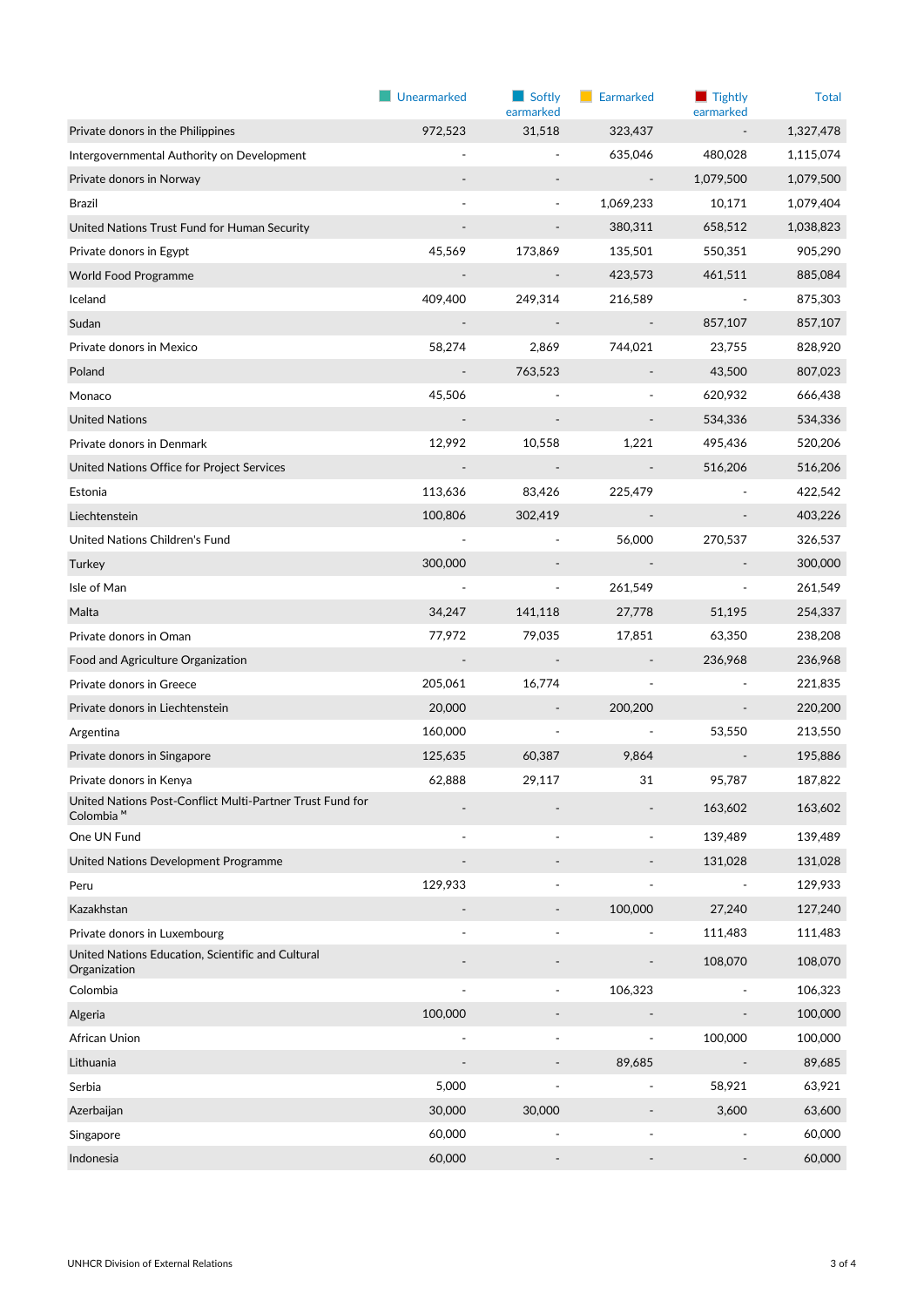|                                                                                    | Unearmarked              | Softly<br>earmarked      | Earmarked                | Tightly<br>earmarked         | <b>Total</b> |
|------------------------------------------------------------------------------------|--------------------------|--------------------------|--------------------------|------------------------------|--------------|
| Private donors in the Philippines                                                  | 972,523                  | 31,518                   | 323,437                  |                              | 1,327,478    |
| Intergovernmental Authority on Development                                         |                          | $\frac{1}{2}$            | 635,046                  | 480,028                      | 1,115,074    |
| Private donors in Norway                                                           |                          |                          |                          | 1,079,500                    | 1,079,500    |
| Brazil                                                                             |                          | $\overline{\phantom{a}}$ | 1,069,233                | 10,171                       | 1,079,404    |
| United Nations Trust Fund for Human Security                                       |                          |                          | 380,311                  | 658,512                      | 1,038,823    |
| Private donors in Egypt                                                            | 45,569                   | 173,869                  | 135,501                  | 550,351                      | 905,290      |
| <b>World Food Programme</b>                                                        |                          | $\overline{\phantom{a}}$ | 423,573                  | 461,511                      | 885,084      |
| Iceland                                                                            | 409,400                  | 249,314                  | 216,589                  |                              | 875,303      |
| Sudan                                                                              |                          | $\overline{\phantom{a}}$ | $\overline{\phantom{a}}$ | 857,107                      | 857,107      |
| Private donors in Mexico                                                           | 58,274                   | 2,869                    | 744,021                  | 23,755                       | 828,920      |
| Poland                                                                             | $\overline{\phantom{a}}$ | 763,523                  |                          | 43,500                       | 807,023      |
| Monaco                                                                             | 45,506                   |                          |                          | 620,932                      | 666,438      |
| <b>United Nations</b>                                                              |                          |                          |                          | 534,336                      | 534,336      |
| Private donors in Denmark                                                          | 12,992                   | 10,558                   | 1,221                    | 495,436                      | 520,206      |
| United Nations Office for Project Services                                         |                          |                          |                          | 516,206                      | 516,206      |
| Estonia                                                                            | 113,636                  | 83,426                   | 225,479                  |                              | 422,542      |
| Liechtenstein                                                                      | 100,806                  | 302,419                  |                          |                              | 403,226      |
| United Nations Children's Fund                                                     |                          | $\frac{1}{2}$            | 56,000                   | 270,537                      | 326,537      |
| Turkey                                                                             | 300,000                  |                          | $\overline{\phantom{a}}$ | $\qquad \qquad \blacksquare$ | 300,000      |
| Isle of Man                                                                        |                          | $\frac{1}{2}$            | 261,549                  | $\frac{1}{2}$                | 261,549      |
| Malta                                                                              | 34,247                   | 141,118                  | 27,778                   | 51,195                       | 254,337      |
| Private donors in Oman                                                             | 77,972                   | 79,035                   | 17,851                   | 63,350                       | 238,208      |
| Food and Agriculture Organization                                                  |                          | $\overline{\phantom{a}}$ |                          | 236,968                      | 236,968      |
| Private donors in Greece                                                           | 205,061                  | 16,774                   |                          |                              | 221,835      |
| Private donors in Liechtenstein                                                    | 20,000                   |                          | 200,200                  |                              | 220,200      |
| Argentina                                                                          | 160,000                  | ÷                        |                          | 53,550                       | 213,550      |
| Private donors in Singapore                                                        | 125,635                  | 60,387                   | 9,864                    |                              | 195,886      |
| Private donors in Kenya                                                            | 62,888                   | 29,117                   | 31                       | 95.787                       | 187,822      |
| United Nations Post-Conflict Multi-Partner Trust Fund for<br>Colombia <sup>M</sup> |                          |                          |                          | 163,602                      | 163,602      |
| One UN Fund                                                                        |                          |                          |                          | 139,489                      | 139,489      |
| United Nations Development Programme                                               |                          |                          |                          | 131,028                      | 131,028      |
| Peru                                                                               | 129,933                  |                          |                          |                              | 129,933      |
| Kazakhstan                                                                         |                          | $\overline{\phantom{m}}$ | 100,000                  | 27,240                       | 127,240      |
| Private donors in Luxembourg                                                       |                          |                          |                          | 111,483                      | 111,483      |
| United Nations Education, Scientific and Cultural<br>Organization                  |                          |                          |                          | 108,070                      | 108,070      |
| Colombia                                                                           |                          |                          | 106,323                  |                              | 106,323      |
| Algeria                                                                            | 100,000                  |                          |                          |                              | 100,000      |
| African Union                                                                      |                          |                          | ۰                        | 100,000                      | 100,000      |
| Lithuania                                                                          |                          |                          | 89,685                   |                              | 89,685       |
| Serbia                                                                             | 5,000                    |                          | $\overline{a}$           | 58,921                       | 63,921       |
| Azerbaijan                                                                         | 30,000                   | 30,000                   |                          | 3,600                        | 63,600       |
| Singapore                                                                          | 60,000                   |                          |                          |                              | 60,000       |
| Indonesia                                                                          | 60,000                   |                          |                          |                              | 60,000       |